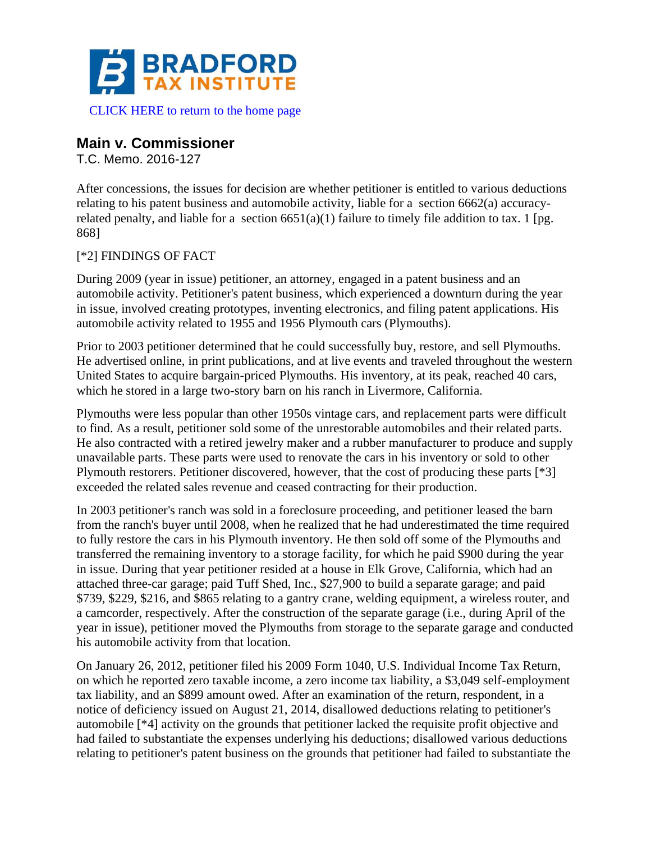

## **Main v. Commissioner**

T.C. Memo. 2016-127

After concessions, the issues for decision are whether petitioner is entitled to various deductions relating to his patent business and automobile activity, liable for a section 6662(a) accuracyrelated penalty, and liable for a section  $6651(a)(1)$  failure to timely file addition to tax. 1 [pg. 868]

## [\*2] FINDINGS OF FACT

During 2009 (year in issue) petitioner, an attorney, engaged in a patent business and an automobile activity. Petitioner's patent business, which experienced a downturn during the year in issue, involved creating prototypes, inventing electronics, and filing patent applications. His automobile activity related to 1955 and 1956 Plymouth cars (Plymouths).

Prior to 2003 petitioner determined that he could successfully buy, restore, and sell Plymouths. He advertised online, in print publications, and at live events and traveled throughout the western United States to acquire bargain-priced Plymouths. His inventory, at its peak, reached 40 cars, which he stored in a large two-story barn on his ranch in Livermore, California.

Plymouths were less popular than other 1950s vintage cars, and replacement parts were difficult to find. As a result, petitioner sold some of the unrestorable automobiles and their related parts. He also contracted with a retired jewelry maker and a rubber manufacturer to produce and supply unavailable parts. These parts were used to renovate the cars in his inventory or sold to other Plymouth restorers. Petitioner discovered, however, that the cost of producing these parts [\*3] exceeded the related sales revenue and ceased contracting for their production.

In 2003 petitioner's ranch was sold in a foreclosure proceeding, and petitioner leased the barn from the ranch's buyer until 2008, when he realized that he had underestimated the time required to fully restore the cars in his Plymouth inventory. He then sold off some of the Plymouths and transferred the remaining inventory to a storage facility, for which he paid \$900 during the year in issue. During that year petitioner resided at a house in Elk Grove, California, which had an attached three-car garage; paid Tuff Shed, Inc., \$27,900 to build a separate garage; and paid \$739, \$229, \$216, and \$865 relating to a gantry crane, welding equipment, a wireless router, and a camcorder, respectively. After the construction of the separate garage (i.e., during April of the year in issue), petitioner moved the Plymouths from storage to the separate garage and conducted his automobile activity from that location.

On January 26, 2012, petitioner filed his 2009 Form 1040, U.S. Individual Income Tax Return, on which he reported zero taxable income, a zero income tax liability, a \$3,049 self-employment tax liability, and an \$899 amount owed. After an examination of the return, respondent, in a notice of deficiency issued on August 21, 2014, disallowed deductions relating to petitioner's automobile [\*4] activity on the grounds that petitioner lacked the requisite profit objective and had failed to substantiate the expenses underlying his deductions; disallowed various deductions relating to petitioner's patent business on the grounds that petitioner had failed to substantiate the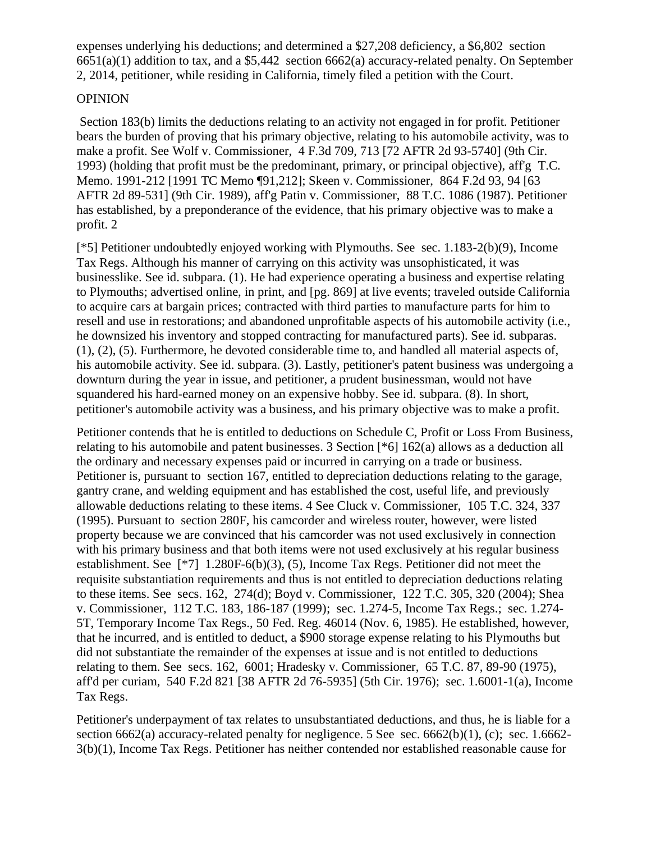expenses underlying his deductions; and determined a \$27,208 deficiency, a \$6,802 section 6651(a)(1) addition to tax, and a \$5,442 section 6662(a) accuracy-related penalty. On September 2, 2014, petitioner, while residing in California, timely filed a petition with the Court.

## **OPINION**

Section 183(b) limits the deductions relating to an activity not engaged in for profit. Petitioner bears the burden of proving that his primary objective, relating to his automobile activity, was to make a profit. See Wolf v. Commissioner, 4 F.3d 709, 713 [72 AFTR 2d 93-5740] (9th Cir. 1993) (holding that profit must be the predominant, primary, or principal objective), aff'g T.C. Memo. 1991-212 [1991 TC Memo ¶91,212]; Skeen v. Commissioner, 864 F.2d 93, 94 [63 AFTR 2d 89-531] (9th Cir. 1989), aff'g Patin v. Commissioner, 88 T.C. 1086 (1987). Petitioner has established, by a preponderance of the evidence, that his primary objective was to make a profit. 2

[\*5] Petitioner undoubtedly enjoyed working with Plymouths. See sec. 1.183-2(b)(9), Income Tax Regs. Although his manner of carrying on this activity was unsophisticated, it was businesslike. See id. subpara. (1). He had experience operating a business and expertise relating to Plymouths; advertised online, in print, and [pg. 869] at live events; traveled outside California to acquire cars at bargain prices; contracted with third parties to manufacture parts for him to resell and use in restorations; and abandoned unprofitable aspects of his automobile activity (i.e., he downsized his inventory and stopped contracting for manufactured parts). See id. subparas. (1), (2), (5). Furthermore, he devoted considerable time to, and handled all material aspects of, his automobile activity. See id. subpara. (3). Lastly, petitioner's patent business was undergoing a downturn during the year in issue, and petitioner, a prudent businessman, would not have squandered his hard-earned money on an expensive hobby. See id. subpara. (8). In short, petitioner's automobile activity was a business, and his primary objective was to make a profit.

Petitioner contends that he is entitled to deductions on Schedule C, Profit or Loss From Business, relating to his automobile and patent businesses. 3 Section [\*6] 162(a) allows as a deduction all the ordinary and necessary expenses paid or incurred in carrying on a trade or business. Petitioner is, pursuant to section 167, entitled to depreciation deductions relating to the garage, gantry crane, and welding equipment and has established the cost, useful life, and previously allowable deductions relating to these items. 4 See Cluck v. Commissioner, 105 T.C. 324, 337 (1995). Pursuant to section 280F, his camcorder and wireless router, however, were listed property because we are convinced that his camcorder was not used exclusively in connection with his primary business and that both items were not used exclusively at his regular business establishment. See [\*7] 1.280F-6(b)(3), (5), Income Tax Regs. Petitioner did not meet the requisite substantiation requirements and thus is not entitled to depreciation deductions relating to these items. See secs. 162, 274(d); Boyd v. Commissioner, 122 T.C. 305, 320 (2004); Shea v. Commissioner, 112 T.C. 183, 186-187 (1999); sec. 1.274-5, Income Tax Regs.; sec. 1.274- 5T, Temporary Income Tax Regs., 50 Fed. Reg. 46014 (Nov. 6, 1985). He established, however, that he incurred, and is entitled to deduct, a \$900 storage expense relating to his Plymouths but did not substantiate the remainder of the expenses at issue and is not entitled to deductions relating to them. See secs. 162, 6001; Hradesky v. Commissioner, 65 T.C. 87, 89-90 (1975), aff'd per curiam, 540 F.2d 821 [38 AFTR 2d 76-5935] (5th Cir. 1976); sec. 1.6001-1(a), Income Tax Regs.

Petitioner's underpayment of tax relates to unsubstantiated deductions, and thus, he is liable for a section 6662(a) accuracy-related penalty for negligence. 5 See sec. 6662(b)(1), (c); sec. 1.6662-3(b)(1), Income Tax Regs. Petitioner has neither contended nor established reasonable cause for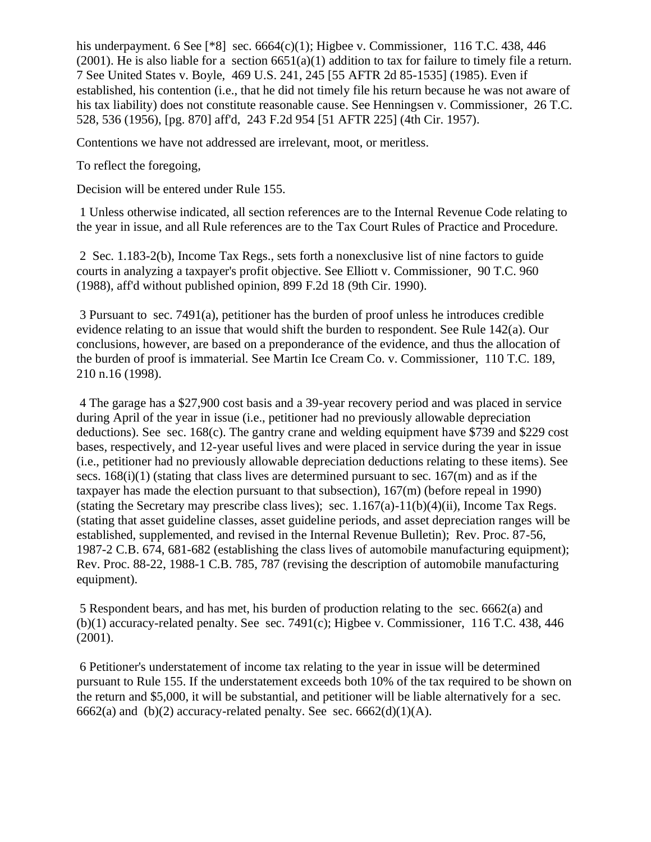his underpayment. 6 See [ $*8$ ] sec. 6664(c)(1); Higbee v. Commissioner, 116 T.C. 438, 446 (2001). He is also liable for a section  $6651(a)(1)$  addition to tax for failure to timely file a return. 7 See United States v. Boyle, 469 U.S. 241, 245 [55 AFTR 2d 85-1535] (1985). Even if established, his contention (i.e., that he did not timely file his return because he was not aware of his tax liability) does not constitute reasonable cause. See Henningsen v. Commissioner, 26 T.C. 528, 536 (1956), [pg. 870] aff'd, 243 F.2d 954 [51 AFTR 225] (4th Cir. 1957).

Contentions we have not addressed are irrelevant, moot, or meritless.

To reflect the foregoing,

Decision will be entered under Rule 155.

1 Unless otherwise indicated, all section references are to the Internal Revenue Code relating to the year in issue, and all Rule references are to the Tax Court Rules of Practice and Procedure.

2 Sec. 1.183-2(b), Income Tax Regs., sets forth a nonexclusive list of nine factors to guide courts in analyzing a taxpayer's profit objective. See Elliott v. Commissioner, 90 T.C. 960 (1988), aff'd without published opinion, 899 F.2d 18 (9th Cir. 1990).

3 Pursuant to sec. 7491(a), petitioner has the burden of proof unless he introduces credible evidence relating to an issue that would shift the burden to respondent. See Rule 142(a). Our conclusions, however, are based on a preponderance of the evidence, and thus the allocation of the burden of proof is immaterial. See Martin Ice Cream Co. v. Commissioner, 110 T.C. 189, 210 n.16 (1998).

4 The garage has a \$27,900 cost basis and a 39-year recovery period and was placed in service during April of the year in issue (i.e., petitioner had no previously allowable depreciation deductions). See sec.  $168(c)$ . The gantry crane and welding equipment have \$739 and \$229 cost bases, respectively, and 12-year useful lives and were placed in service during the year in issue (i.e., petitioner had no previously allowable depreciation deductions relating to these items). See secs.  $168(i)(1)$  (stating that class lives are determined pursuant to sec.  $167(m)$  and as if the taxpayer has made the election pursuant to that subsection), 167(m) (before repeal in 1990) (stating the Secretary may prescribe class lives); sec.  $1.167(a)-11(b)(4)(ii)$ , Income Tax Regs. (stating that asset guideline classes, asset guideline periods, and asset depreciation ranges will be established, supplemented, and revised in the Internal Revenue Bulletin); Rev. Proc. 87-56, 1987-2 C.B. 674, 681-682 (establishing the class lives of automobile manufacturing equipment); Rev. Proc. 88-22, 1988-1 C.B. 785, 787 (revising the description of automobile manufacturing equipment).

5 Respondent bears, and has met, his burden of production relating to the sec. 6662(a) and (b)(1) accuracy-related penalty. See sec. 7491(c); Higbee v. Commissioner, 116 T.C. 438, 446 (2001).

6 Petitioner's understatement of income tax relating to the year in issue will be determined pursuant to Rule 155. If the understatement exceeds both 10% of the tax required to be shown on the return and \$5,000, it will be substantial, and petitioner will be liable alternatively for a sec. 6662(a) and (b)(2) accuracy-related penalty. See sec. 6662(d)(1)(A).